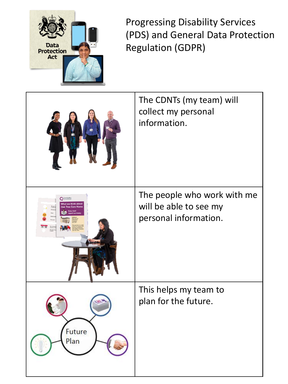

Progressing Disability Services (PDS) and General Data Protection Regulation (GDPR)

|                    | The CDNTs (my team) will<br>collect my personal<br>information. |
|--------------------|-----------------------------------------------------------------|
| CareQuality        | The people who work with me                                     |
| What we think abou | will be able to see my                                          |
| 11 12              | personal information.                                           |
| Future             | This helps my team to                                           |
| Plan               | plan for the future.                                            |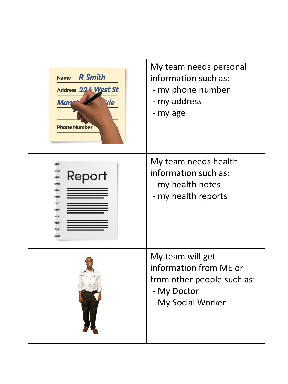| <b>R.Smith</b><br><b>Name</b><br>Address 224 West St<br><b>Man</b><br>de<br><b>Phone Number</b> | My team needs personal<br>information such as:<br>- my phone number<br>- my address<br>- my age               |
|-------------------------------------------------------------------------------------------------|---------------------------------------------------------------------------------------------------------------|
| Report                                                                                          | My team needs health<br>information such as:<br>- my health notes<br>- my health reports                      |
|                                                                                                 | My team will get<br>information from ME or<br>from other people such as:<br>- My Doctor<br>- My Social Worker |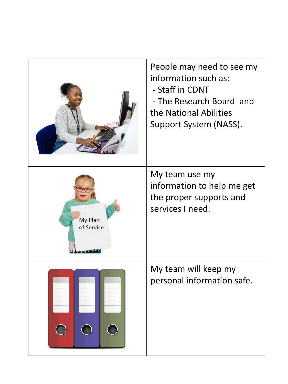|                              | People may need to see my<br>information such as:<br>- Staff in CDNT<br>- The Research Board and<br>the National Abilities<br>Support System (NASS). |
|------------------------------|------------------------------------------------------------------------------------------------------------------------------------------------------|
| <b>My Plan</b><br>of Service | My team use my<br>information to help me get<br>the proper supports and<br>services I need.                                                          |
|                              | My team will keep my<br>personal information safe.                                                                                                   |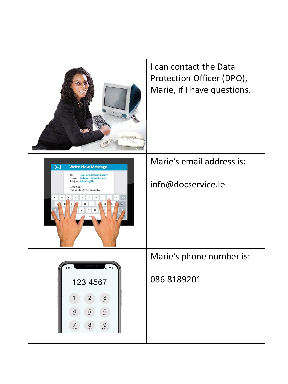|                                                                                                                                                                                         | I can contact the Data<br>Protection Officer (DPO),<br>Marie, if I have questions. |
|-----------------------------------------------------------------------------------------------------------------------------------------------------------------------------------------|------------------------------------------------------------------------------------|
| ⊠<br><b>Write New Message</b><br>sue.jones53@mail.com<br>To:<br>From: I.stevens@mail.co.uk<br><b>Subject: Meeting Up</b><br>Dear Sue,<br>I am writing this email to                     | Marie's email address is:<br>info@docservice.ie                                    |
|                                                                                                                                                                                         | Marie's phone number is:                                                           |
| 123 4567<br>$1 \quad 2$<br>$3\atop{def}}$<br>$\mathsf{G}_{\mathsf{A}\mathsf{B}}$<br>$5\over 251$<br>$\frac{4}{9}$<br>$9\nu x y z$<br>$7\nvert_{\rm{p}_\mathrm{QRS}}$<br>$\frac{8}{\pi}$ | 086 8189201                                                                        |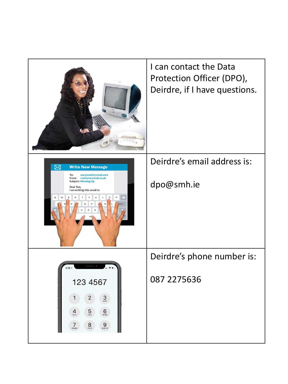|                                                                                                                                                                                                                                                       | I can contact the Data<br>Protection Officer (DPO),<br>Deirdre, if I have questions. |
|-------------------------------------------------------------------------------------------------------------------------------------------------------------------------------------------------------------------------------------------------------|--------------------------------------------------------------------------------------|
| ⊠<br><b>Write New Message</b><br>sue.jones53@mail.com<br>To:<br>From: I.stevens@mail.co.uk<br><b>Subject: Meeting Up</b><br>Dear Sue,<br>I am writing this email to                                                                                   | Deirdre's email address is:<br>dpo@smh.ie                                            |
|                                                                                                                                                                                                                                                       | Deirdre's phone number is:                                                           |
| 123 4567<br>$\begin{array}{ c c } \hline 2 \\ \hline \end{array}$<br>$\frac{2}{3}$<br>$\overline{5}$<br>$\mathsf{e}^{\mathsf{e}^{\mathsf{e}}$<br>$\frac{4}{9}$<br>$7\nvert_{\rm{p}_\mathrm{QRS}}$<br>$\sum_{\tau \, \upsilon \, \nu}$<br>$9\nu x y z$ | 087 2275 636                                                                         |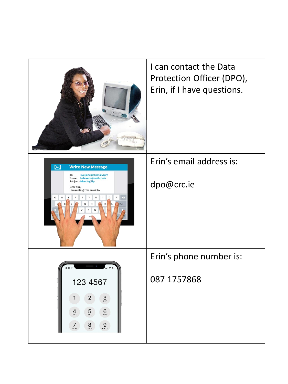|                                                                                                                                                                     | I can contact the Data<br>Protection Officer (DPO),<br>Erin, if I have questions. |
|---------------------------------------------------------------------------------------------------------------------------------------------------------------------|-----------------------------------------------------------------------------------|
| ⊠<br><b>Write New Message</b><br>To:<br>sue.jones53@mail.com<br>From: I.stevens@mail.co.uk<br><b>Subject: Meeting Up</b><br>Dear Sue,<br>I am writing this email to | Erin's email address is:<br>dpo@crc.ie                                            |
| 123 4567<br>$1 \quad 2 \quad$<br>3 <sub>DF</sub><br>$5\overline{5}$<br>$6\atop{0}$<br>$\frac{4}{9}$                                                                 | Erin's phone number is:<br>087 1757868                                            |
| $9\nu x y z$<br>$7\nvert_{\rm{p}}$<br>$\frac{8}{\pi}$                                                                                                               |                                                                                   |